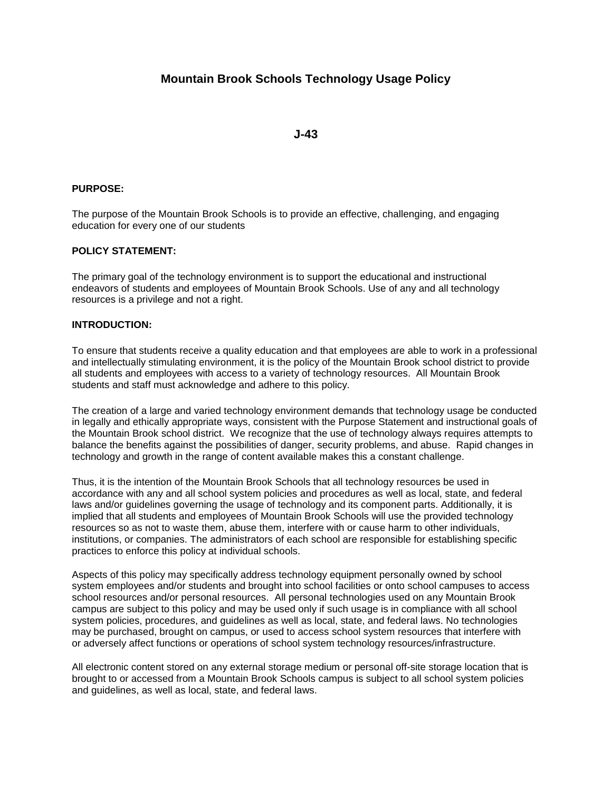# **Mountain Brook Schools Technology Usage Policy**

**J-43**

# **PURPOSE:**

The purpose of the Mountain Brook Schools is to provide an effective, challenging, and engaging education for every one of our students

### **POLICY STATEMENT:**

The primary goal of the technology environment is to support the educational and instructional endeavors of students and employees of Mountain Brook Schools. Use of any and all technology resources is a privilege and not a right.

# **INTRODUCTION:**

To ensure that students receive a quality education and that employees are able to work in a professional and intellectually stimulating environment, it is the policy of the Mountain Brook school district to provide all students and employees with access to a variety of technology resources. All Mountain Brook students and staff must acknowledge and adhere to this policy.

The creation of a large and varied technology environment demands that technology usage be conducted in legally and ethically appropriate ways, consistent with the Purpose Statement and instructional goals of the Mountain Brook school district. We recognize that the use of technology always requires attempts to balance the benefits against the possibilities of danger, security problems, and abuse. Rapid changes in technology and growth in the range of content available makes this a constant challenge.

Thus, it is the intention of the Mountain Brook Schools that all technology resources be used in accordance with any and all school system policies and procedures as well as local, state, and federal laws and/or guidelines governing the usage of technology and its component parts. Additionally, it is implied that all students and employees of Mountain Brook Schools will use the provided technology resources so as not to waste them, abuse them, interfere with or cause harm to other individuals, institutions, or companies. The administrators of each school are responsible for establishing specific practices to enforce this policy at individual schools.

Aspects of this policy may specifically address technology equipment personally owned by school system employees and/or students and brought into school facilities or onto school campuses to access school resources and/or personal resources. All personal technologies used on any Mountain Brook campus are subject to this policy and may be used only if such usage is in compliance with all school system policies, procedures, and guidelines as well as local, state, and federal laws. No technologies may be purchased, brought on campus, or used to access school system resources that interfere with or adversely affect functions or operations of school system technology resources/infrastructure.

All electronic content stored on any external storage medium or personal off-site storage location that is brought to or accessed from a Mountain Brook Schools campus is subject to all school system policies and guidelines, as well as local, state, and federal laws.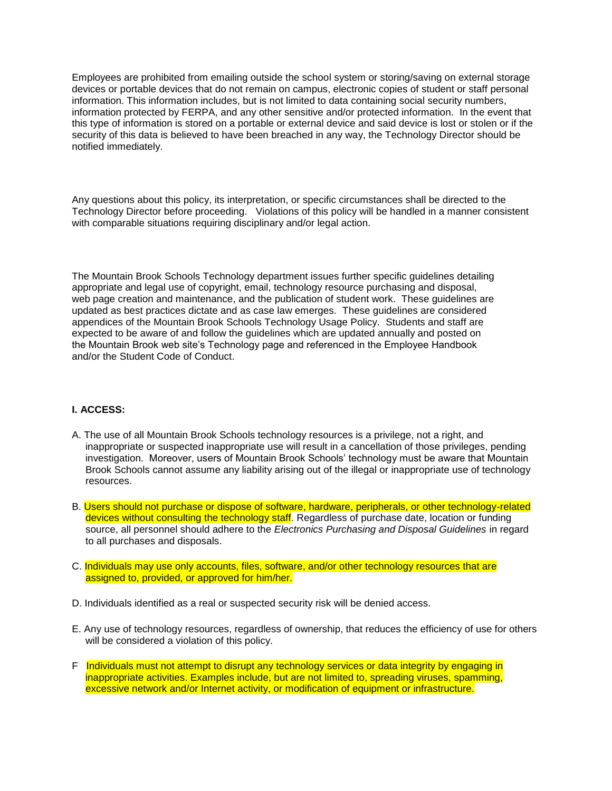Employees are prohibited from emailing outside the school system or storing/saving on external storage devices or portable devices that do not remain on campus, electronic copies of student or staff personal information. This information includes, but is not limited to data containing social security numbers, information protected by FERPA, and any other sensitive and/or protected information. In the event that this type of information is stored on a portable or external device and said device is lost or stolen or if the security of this data is believed to have been breached in any way, the Technology Director should be notified immediately.

Any questions about this policy, its interpretation, or specific circumstances shall be directed to the Technology Director before proceeding. Violations of this policy will be handled in a manner consistent with comparable situations requiring disciplinary and/or legal action.

The Mountain Brook Schools Technology department issues further specific guidelines detailing appropriate and legal use of copyright, email, technology resource purchasing and disposal, web page creation and maintenance, and the publication of student work. These guidelines are updated as best practices dictate and as case law emerges. These guidelines are considered appendices of the Mountain Brook Schools Technology Usage Policy. Students and staff are expected to be aware of and follow the guidelines which are updated annually and posted on the Mountain Brook web site's Technology page and referenced in the Employee Handbook and/or the Student Code of Conduct.

### **I. ACCESS:**

- A. The use of all Mountain Brook Schools technology resources is a privilege, not a right, and inappropriate or suspected inappropriate use will result in a cancellation of those privileges, pending investigation. Moreover, users of Mountain Brook Schools' technology must be aware that Mountain Brook Schools cannot assume any liability arising out of the illegal or inappropriate use of technology resources.
- B. Users should not purchase or dispose of software, hardware, peripherals, or other technology-related devices without consulting the technology staff. Regardless of purchase date, location or funding source, all personnel should adhere to the *Electronics Purchasing and Disposal Guidelines* in regard to all purchases and disposals.
- C. Individuals may use only accounts, files, software, and/or other technology resources that are assigned to, provided, or approved for him/her.
- D. Individuals identified as a real or suspected security risk will be denied access.
- E. Any use of technology resources, regardless of ownership, that reduces the efficiency of use for others will be considered a violation of this policy.
- F Individuals must not attempt to disrupt any technology services or data integrity by engaging in inappropriate activities. Examples include, but are not limited to, spreading viruses, spamming, excessive network and/or Internet activity, or modification of equipment or infrastructure.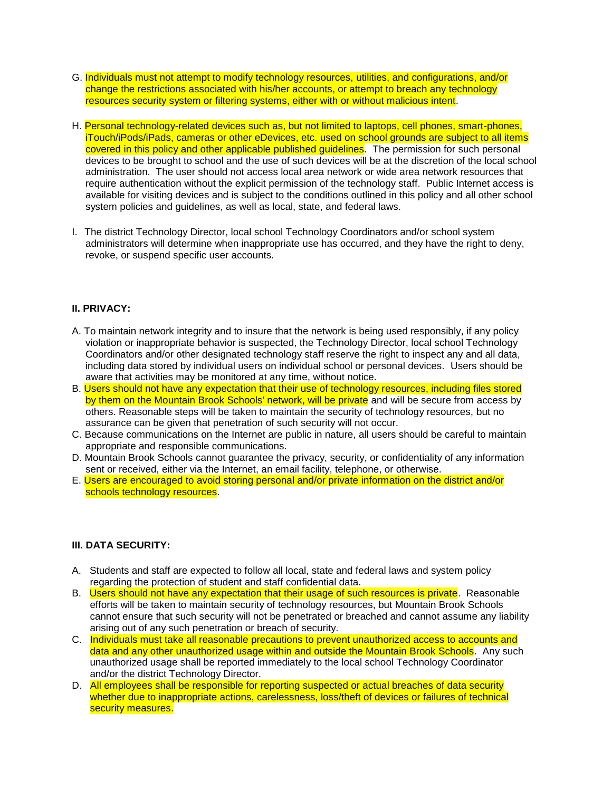- G. Individuals must not attempt to modify technology resources, utilities, and configurations, and/or change the restrictions associated with his/her accounts, or attempt to breach any technology resources security system or filtering systems, either with or without malicious intent.
- H. Personal technology-related devices such as, but not limited to laptops, cell phones, smart-phones, iTouch/iPods/iPads, cameras or other eDevices, etc. used on school grounds are subject to all items covered in this policy and other applicable published guidelines. The permission for such personal devices to be brought to school and the use of such devices will be at the discretion of the local school administration. The user should not access local area network or wide area network resources that require authentication without the explicit permission of the technology staff. Public Internet access is available for visiting devices and is subject to the conditions outlined in this policy and all other school system policies and guidelines, as well as local, state, and federal laws.
- I. The district Technology Director, local school Technology Coordinators and/or school system administrators will determine when inappropriate use has occurred, and they have the right to deny, revoke, or suspend specific user accounts.

# **II. PRIVACY:**

- A. To maintain network integrity and to insure that the network is being used responsibly, if any policy violation or inappropriate behavior is suspected, the Technology Director, local school Technology Coordinators and/or other designated technology staff reserve the right to inspect any and all data, including data stored by individual users on individual school or personal devices. Users should be aware that activities may be monitored at any time, without notice.
- B. Users should not have any expectation that their use of technology resources, including files stored by them on the Mountain Brook Schools' network, will be private and will be secure from access by others. Reasonable steps will be taken to maintain the security of technology resources, but no assurance can be given that penetration of such security will not occur.
- C. Because communications on the Internet are public in nature, all users should be careful to maintain appropriate and responsible communications.
- D. Mountain Brook Schools cannot guarantee the privacy, security, or confidentiality of any information sent or received, either via the Internet, an email facility, telephone, or otherwise.
- E. Users are encouraged to avoid storing personal and/or private information on the district and/or schools technology resources.

# **III. DATA SECURITY:**

- A. Students and staff are expected to follow all local, state and federal laws and system policy regarding the protection of student and staff confidential data.
- B. Users should not have any expectation that their usage of such resources is private. Reasonable efforts will be taken to maintain security of technology resources, but Mountain Brook Schools cannot ensure that such security will not be penetrated or breached and cannot assume any liability arising out of any such penetration or breach of security.
- C. Individuals must take all reasonable precautions to prevent unauthorized access to accounts and data and any other unauthorized usage within and outside the Mountain Brook Schools. Any such unauthorized usage shall be reported immediately to the local school Technology Coordinator and/or the district Technology Director.
- D. All employees shall be responsible for reporting suspected or actual breaches of data security whether due to inappropriate actions, carelessness, loss/theft of devices or failures of technical security measures.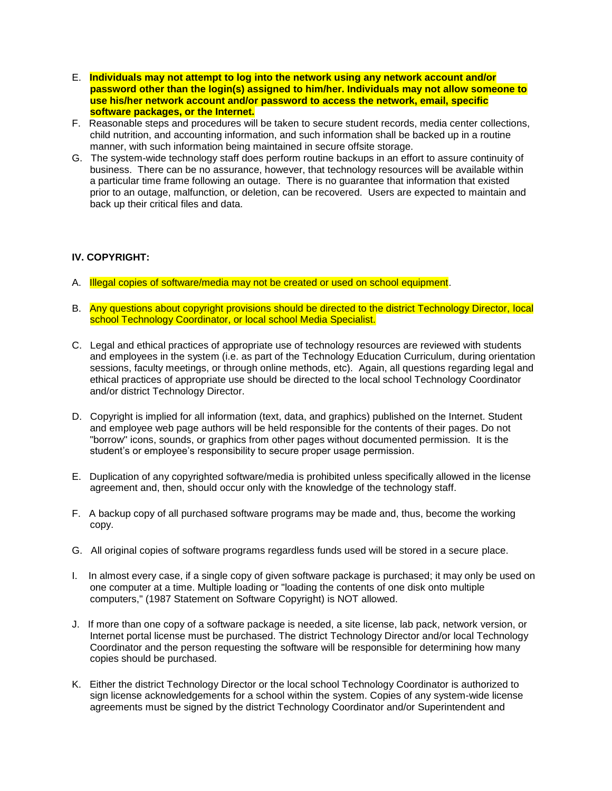- E. **Individuals may not attempt to log into the network using any network account and/or password other than the login(s) assigned to him/her. Individuals may not allow someone to use his/her network account and/or password to access the network, email, specific software packages, or the Internet.**
- F. Reasonable steps and procedures will be taken to secure student records, media center collections, child nutrition, and accounting information, and such information shall be backed up in a routine manner, with such information being maintained in secure offsite storage.
- G. The system-wide technology staff does perform routine backups in an effort to assure continuity of business. There can be no assurance, however, that technology resources will be available within a particular time frame following an outage. There is no guarantee that information that existed prior to an outage, malfunction, or deletion, can be recovered. Users are expected to maintain and back up their critical files and data.

### **IV. COPYRIGHT:**

- A. Illegal copies of software/media may not be created or used on school equipment.
- B. Any questions about copyright provisions should be directed to the district Technology Director, local school Technology Coordinator, or local school Media Specialist.
- C. Legal and ethical practices of appropriate use of technology resources are reviewed with students and employees in the system (i.e. as part of the Technology Education Curriculum, during orientation sessions, faculty meetings, or through online methods, etc). Again, all questions regarding legal and ethical practices of appropriate use should be directed to the local school Technology Coordinator and/or district Technology Director.
- D. Copyright is implied for all information (text, data, and graphics) published on the Internet. Student and employee web page authors will be held responsible for the contents of their pages. Do not "borrow" icons, sounds, or graphics from other pages without documented permission. It is the student's or employee's responsibility to secure proper usage permission.
- E. Duplication of any copyrighted software/media is prohibited unless specifically allowed in the license agreement and, then, should occur only with the knowledge of the technology staff.
- F. A backup copy of all purchased software programs may be made and, thus, become the working copy.
- G. All original copies of software programs regardless funds used will be stored in a secure place.
- I. In almost every case, if a single copy of given software package is purchased; it may only be used on one computer at a time. Multiple loading or "loading the contents of one disk onto multiple computers," (1987 Statement on Software Copyright) is NOT allowed.
- J. If more than one copy of a software package is needed, a site license, lab pack, network version, or Internet portal license must be purchased. The district Technology Director and/or local Technology Coordinator and the person requesting the software will be responsible for determining how many copies should be purchased.
- K. Either the district Technology Director or the local school Technology Coordinator is authorized to sign license acknowledgements for a school within the system. Copies of any system-wide license agreements must be signed by the district Technology Coordinator and/or Superintendent and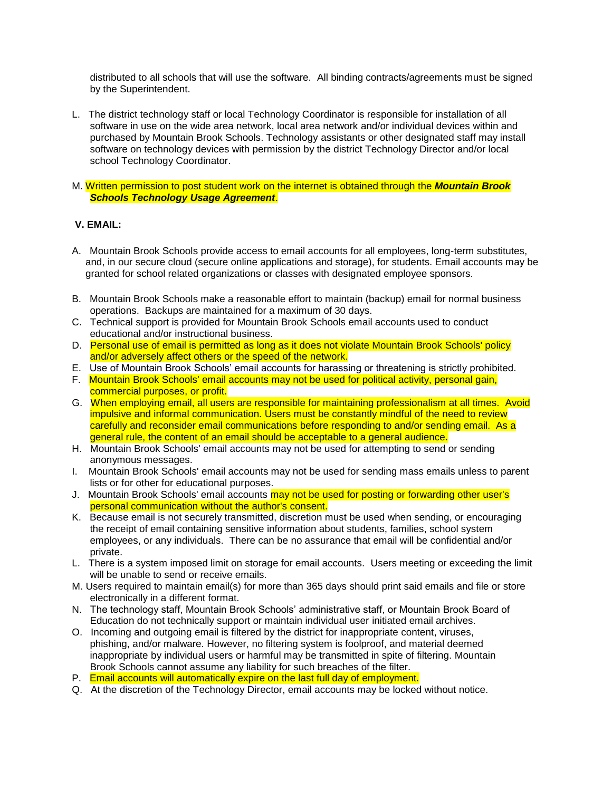distributed to all schools that will use the software. All binding contracts/agreements must be signed by the Superintendent.

- L. The district technology staff or local Technology Coordinator is responsible for installation of all software in use on the wide area network, local area network and/or individual devices within and purchased by Mountain Brook Schools. Technology assistants or other designated staff may install software on technology devices with permission by the district Technology Director and/or local school Technology Coordinator.
- M. Written permission to post student work on the internet is obtained through the *Mountain Brook Schools Technology Usage Agreement*.

# **V. EMAIL:**

- A. Mountain Brook Schools provide access to email accounts for all employees, long-term substitutes, and, in our secure cloud (secure online applications and storage), for students. Email accounts may be granted for school related organizations or classes with designated employee sponsors.
- B. Mountain Brook Schools make a reasonable effort to maintain (backup) email for normal business operations. Backups are maintained for a maximum of 30 days.
- C. Technical support is provided for Mountain Brook Schools email accounts used to conduct educational and/or instructional business.
- D. Personal use of email is permitted as long as it does not violate Mountain Brook Schools' policy and/or adversely affect others or the speed of the network.
- E. Use of Mountain Brook Schools' email accounts for harassing or threatening is strictly prohibited.
- F. Mountain Brook Schools' email accounts may not be used for political activity, personal gain, commercial purposes, or profit.
- G. When employing email, all users are responsible for maintaining professionalism at all times. Avoid impulsive and informal communication. Users must be constantly mindful of the need to review carefully and reconsider email communications before responding to and/or sending email. As a general rule, the content of an email should be acceptable to a general audience.
- H. Mountain Brook Schools' email accounts may not be used for attempting to send or sending anonymous messages.
- I. Mountain Brook Schools' email accounts may not be used for sending mass emails unless to parent lists or for other for educational purposes.
- J. Mountain Brook Schools' email accounts may not be used for posting or forwarding other user's personal communication without the author's consent.
- K. Because email is not securely transmitted, discretion must be used when sending, or encouraging the receipt of email containing sensitive information about students, families, school system employees, or any individuals. There can be no assurance that email will be confidential and/or private.
- L. There is a system imposed limit on storage for email accounts. Users meeting or exceeding the limit will be unable to send or receive emails.
- M. Users required to maintain email(s) for more than 365 days should print said emails and file or store electronically in a different format.
- N. The technology staff, Mountain Brook Schools' administrative staff, or Mountain Brook Board of Education do not technically support or maintain individual user initiated email archives.
- O. Incoming and outgoing email is filtered by the district for inappropriate content, viruses, phishing, and/or malware. However, no filtering system is foolproof, and material deemed inappropriate by individual users or harmful may be transmitted in spite of filtering. Mountain Brook Schools cannot assume any liability for such breaches of the filter.
- P. Email accounts will automatically expire on the last full day of employment.
- Q. At the discretion of the Technology Director, email accounts may be locked without notice.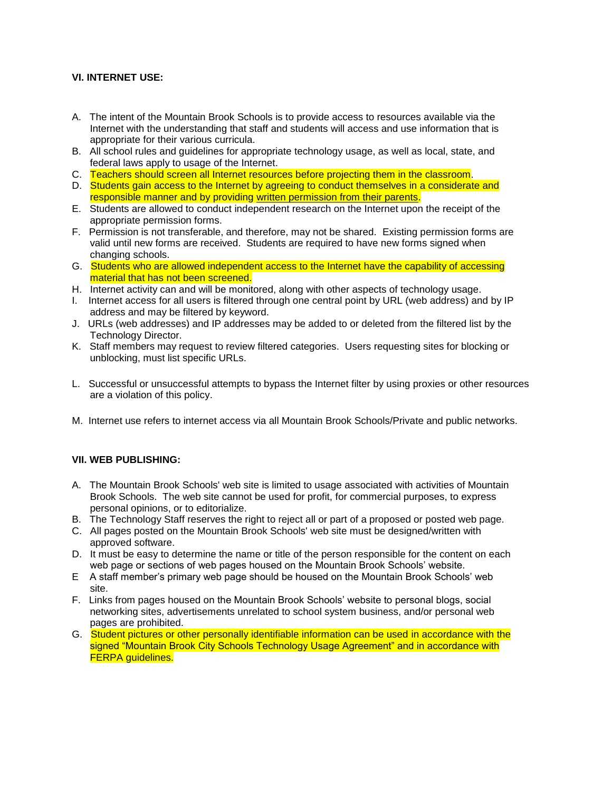# **VI. INTERNET USE:**

- A. The intent of the Mountain Brook Schools is to provide access to resources available via the Internet with the understanding that staff and students will access and use information that is appropriate for their various curricula.
- B. All school rules and guidelines for appropriate technology usage, as well as local, state, and federal laws apply to usage of the Internet.
- C. Teachers should screen all Internet resources before projecting them in the classroom.
- D. Students gain access to the Internet by agreeing to conduct themselves in a considerate and responsible manner and by providing written permission from their parents.
- E. Students are allowed to conduct independent research on the Internet upon the receipt of the appropriate permission forms.
- F. Permission is not transferable, and therefore, may not be shared. Existing permission forms are valid until new forms are received. Students are required to have new forms signed when changing schools.
- G. Students who are allowed independent access to the Internet have the capability of accessing material that has not been screened.
- H. Internet activity can and will be monitored, along with other aspects of technology usage.
- I. Internet access for all users is filtered through one central point by URL (web address) and by IP address and may be filtered by keyword.
- J. URLs (web addresses) and IP addresses may be added to or deleted from the filtered list by the Technology Director.
- K. Staff members may request to review filtered categories. Users requesting sites for blocking or unblocking, must list specific URLs.
- L. Successful or unsuccessful attempts to bypass the Internet filter by using proxies or other resources are a violation of this policy.
- M. Internet use refers to internet access via all Mountain Brook Schools/Private and public networks.

# **VII. WEB PUBLISHING:**

- A. The Mountain Brook Schools' web site is limited to usage associated with activities of Mountain Brook Schools. The web site cannot be used for profit, for commercial purposes, to express personal opinions, or to editorialize.
- B. The Technology Staff reserves the right to reject all or part of a proposed or posted web page.
- C. All pages posted on the Mountain Brook Schools' web site must be designed/written with approved software.
- D. It must be easy to determine the name or title of the person responsible for the content on each web page or sections of web pages housed on the Mountain Brook Schools' website.
- E A staff member's primary web page should be housed on the Mountain Brook Schools' web site.
- F. Links from pages housed on the Mountain Brook Schools' website to personal blogs, social networking sites, advertisements unrelated to school system business, and/or personal web pages are prohibited.
- G. Student pictures or other personally identifiable information can be used in accordance with the signed "Mountain Brook City Schools Technology Usage Agreement" and in accordance with FERPA guidelines.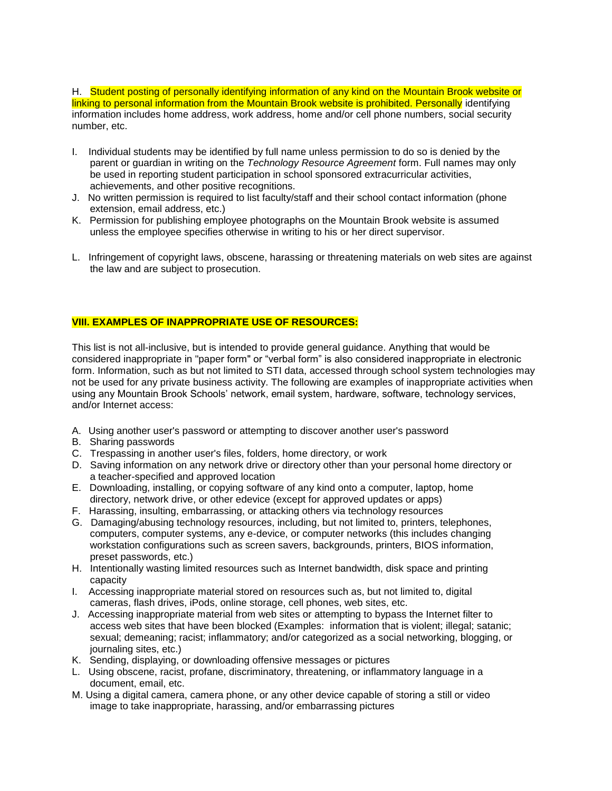H. Student posting of personally identifying information of any kind on the Mountain Brook website or linking to personal information from the Mountain Brook website is prohibited. Personally identifying information includes home address, work address, home and/or cell phone numbers, social security number, etc.

- I. Individual students may be identified by full name unless permission to do so is denied by the parent or guardian in writing on the *Technology Resource Agreement* form. Full names may only be used in reporting student participation in school sponsored extracurricular activities, achievements, and other positive recognitions.
- J. No written permission is required to list faculty/staff and their school contact information (phone extension, email address, etc.)
- K. Permission for publishing employee photographs on the Mountain Brook website is assumed unless the employee specifies otherwise in writing to his or her direct supervisor.
- L. Infringement of copyright laws, obscene, harassing or threatening materials on web sites are against the law and are subject to prosecution.

# **VIII. EXAMPLES OF INAPPROPRIATE USE OF RESOURCES:**

This list is not all-inclusive, but is intended to provide general guidance. Anything that would be considered inappropriate in "paper form" or "verbal form" is also considered inappropriate in electronic form. Information, such as but not limited to STI data, accessed through school system technologies may not be used for any private business activity. The following are examples of inappropriate activities when using any Mountain Brook Schools' network, email system, hardware, software, technology services, and/or Internet access:

- A. Using another user's password or attempting to discover another user's password
- B. Sharing passwords
- C. Trespassing in another user's files, folders, home directory, or work
- D. Saving information on any network drive or directory other than your personal home directory or a teacher-specified and approved location
- E. Downloading, installing, or copying software of any kind onto a computer, laptop, home directory, network drive, or other edevice (except for approved updates or apps)
- F. Harassing, insulting, embarrassing, or attacking others via technology resources
- G. Damaging/abusing technology resources, including, but not limited to, printers, telephones, computers, computer systems, any e-device, or computer networks (this includes changing workstation configurations such as screen savers, backgrounds, printers, BIOS information, preset passwords, etc.)
- H. Intentionally wasting limited resources such as Internet bandwidth, disk space and printing capacity
- I. Accessing inappropriate material stored on resources such as, but not limited to, digital cameras, flash drives, iPods, online storage, cell phones, web sites, etc.
- J. Accessing inappropriate material from web sites or attempting to bypass the Internet filter to access web sites that have been blocked (Examples: information that is violent; illegal; satanic; sexual; demeaning; racist; inflammatory; and/or categorized as a social networking, blogging, or journaling sites, etc.)
- K. Sending, displaying, or downloading offensive messages or pictures
- L. Using obscene, racist, profane, discriminatory, threatening, or inflammatory language in a document, email, etc.
- M. Using a digital camera, camera phone, or any other device capable of storing a still or video image to take inappropriate, harassing, and/or embarrassing pictures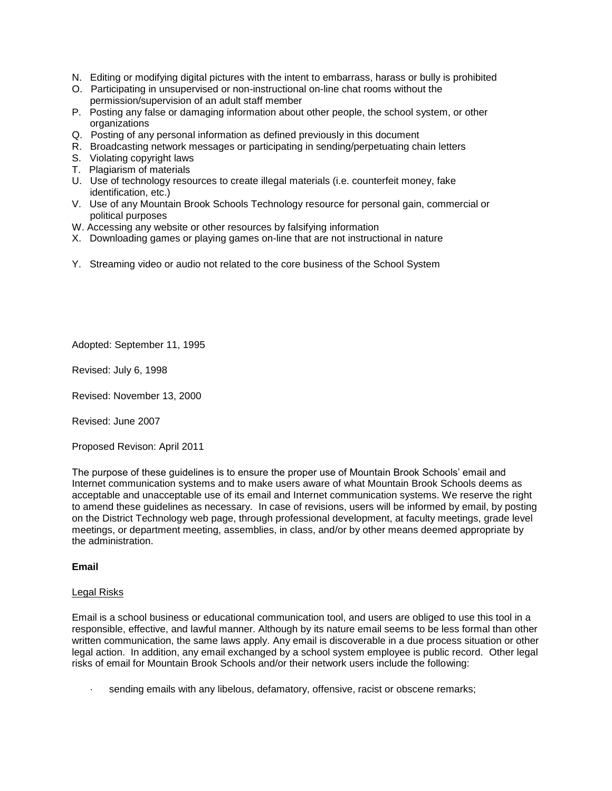- N. Editing or modifying digital pictures with the intent to embarrass, harass or bully is prohibited
- O. Participating in unsupervised or non-instructional on-line chat rooms without the permission/supervision of an adult staff member
- P. Posting any false or damaging information about other people, the school system, or other organizations
- Q. Posting of any personal information as defined previously in this document
- R. Broadcasting network messages or participating in sending/perpetuating chain letters
- S. Violating copyright laws
- T. Plagiarism of materials
- U. Use of technology resources to create illegal materials (i.e. counterfeit money, fake identification, etc.)
- V. Use of any Mountain Brook Schools Technology resource for personal gain, commercial or political purposes
- W. Accessing any website or other resources by falsifying information
- X. Downloading games or playing games on-line that are not instructional in nature
- Y. Streaming video or audio not related to the core business of the School System

Adopted: September 11, 1995

Revised: July 6, 1998

Revised: November 13, 2000

Revised: June 2007

Proposed Revison: April 2011

The purpose of these guidelines is to ensure the proper use of Mountain Brook Schools' email and Internet communication systems and to make users aware of what Mountain Brook Schools deems as acceptable and unacceptable use of its email and Internet communication systems. We reserve the right to amend these guidelines as necessary. In case of revisions, users will be informed by email, by posting on the District Technology web page, through professional development, at faculty meetings, grade level meetings, or department meeting, assemblies, in class, and/or by other means deemed appropriate by the administration.

### **Email**

#### Legal Risks

Email is a school business or educational communication tool, and users are obliged to use this tool in a responsible, effective, and lawful manner. Although by its nature email seems to be less formal than other written communication, the same laws apply. Any email is discoverable in a due process situation or other legal action. In addition, any email exchanged by a school system employee is public record. Other legal risks of email for Mountain Brook Schools and/or their network users include the following:

sending emails with any libelous, defamatory, offensive, racist or obscene remarks;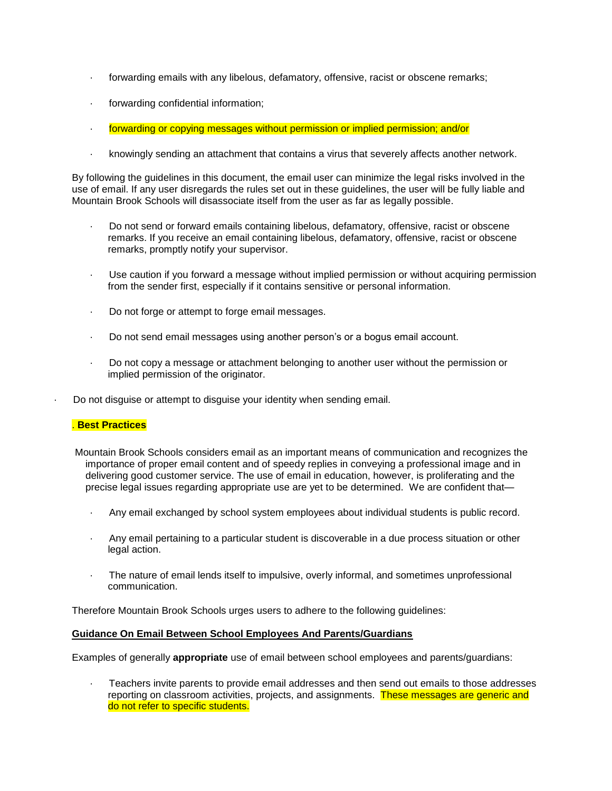- · forwarding emails with any libelous, defamatory, offensive, racist or obscene remarks;
- forwarding confidential information;
- · forwarding or copying messages without permission or implied permission; and/or
- · knowingly sending an attachment that contains a virus that severely affects another network.

By following the guidelines in this document, the email user can minimize the legal risks involved in the use of email. If any user disregards the rules set out in these guidelines, the user will be fully liable and Mountain Brook Schools will disassociate itself from the user as far as legally possible.

- · Do not send or forward emails containing libelous, defamatory, offensive, racist or obscene remarks. If you receive an email containing libelous, defamatory, offensive, racist or obscene remarks, promptly notify your supervisor.
- · Use caution if you forward a message without implied permission or without acquiring permission from the sender first, especially if it contains sensitive or personal information.
- · Do not forge or attempt to forge email messages.
- · Do not send email messages using another person's or a bogus email account.
- · Do not copy a message or attachment belonging to another user without the permission or implied permission of the originator.
- Do not disguise or attempt to disguise your identity when sending email.

### . **Best Practices**

- Mountain Brook Schools considers email as an important means of communication and recognizes the importance of proper email content and of speedy replies in conveying a professional image and in delivering good customer service. The use of email in education, however, is proliferating and the precise legal issues regarding appropriate use are yet to be determined. We are confident that—
	- · Any email exchanged by school system employees about individual students is public record.
	- · Any email pertaining to a particular student is discoverable in a due process situation or other legal action.
	- The nature of email lends itself to impulsive, overly informal, and sometimes unprofessional communication.

Therefore Mountain Brook Schools urges users to adhere to the following guidelines:

### **Guidance On Email Between School Employees And Parents/Guardians**

Examples of generally **appropriate** use of email between school employees and parents/guardians:

· Teachers invite parents to provide email addresses and then send out emails to those addresses reporting on classroom activities, projects, and assignments. These messages are generic and do not refer to specific students.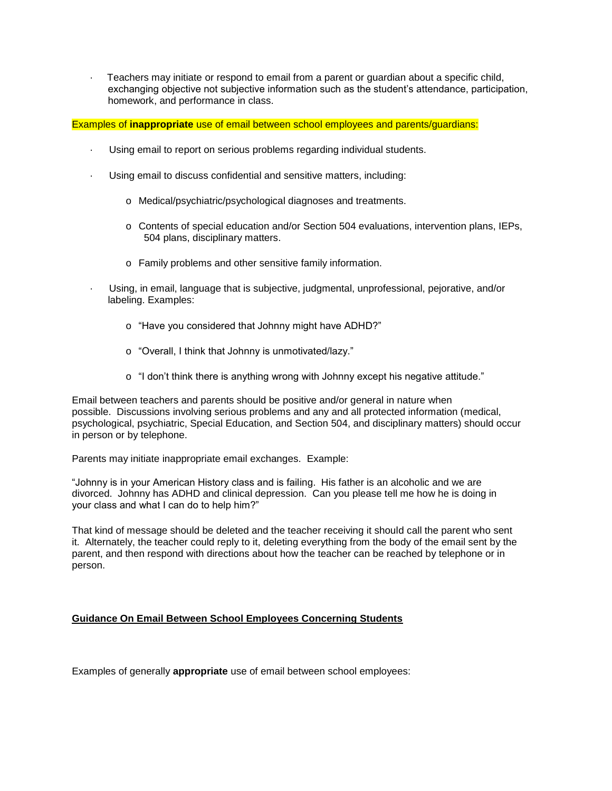Teachers may initiate or respond to email from a parent or guardian about a specific child, exchanging objective not subjective information such as the student's attendance, participation, homework, and performance in class.

Examples of **inappropriate** use of email between school employees and parents/guardians:

- Using email to report on serious problems regarding individual students.
- Using email to discuss confidential and sensitive matters, including:
	- o Medical/psychiatric/psychological diagnoses and treatments.
	- o Contents of special education and/or Section 504 evaluations, intervention plans, IEPs, 504 plans, disciplinary matters.
	- o Family problems and other sensitive family information.
	- · Using, in email, language that is subjective, judgmental, unprofessional, pejorative, and/or labeling. Examples:
		- o "Have you considered that Johnny might have ADHD?"
		- o "Overall, I think that Johnny is unmotivated/lazy."
		- o "I don't think there is anything wrong with Johnny except his negative attitude."

Email between teachers and parents should be positive and/or general in nature when possible. Discussions involving serious problems and any and all protected information (medical, psychological, psychiatric, Special Education, and Section 504, and disciplinary matters) should occur in person or by telephone.

Parents may initiate inappropriate email exchanges. Example:

"Johnny is in your American History class and is failing. His father is an alcoholic and we are divorced. Johnny has ADHD and clinical depression. Can you please tell me how he is doing in your class and what I can do to help him?"

That kind of message should be deleted and the teacher receiving it should call the parent who sent it. Alternately, the teacher could reply to it, deleting everything from the body of the email sent by the parent, and then respond with directions about how the teacher can be reached by telephone or in person.

# **Guidance On Email Between School Employees Concerning Students**

Examples of generally **appropriate** use of email between school employees: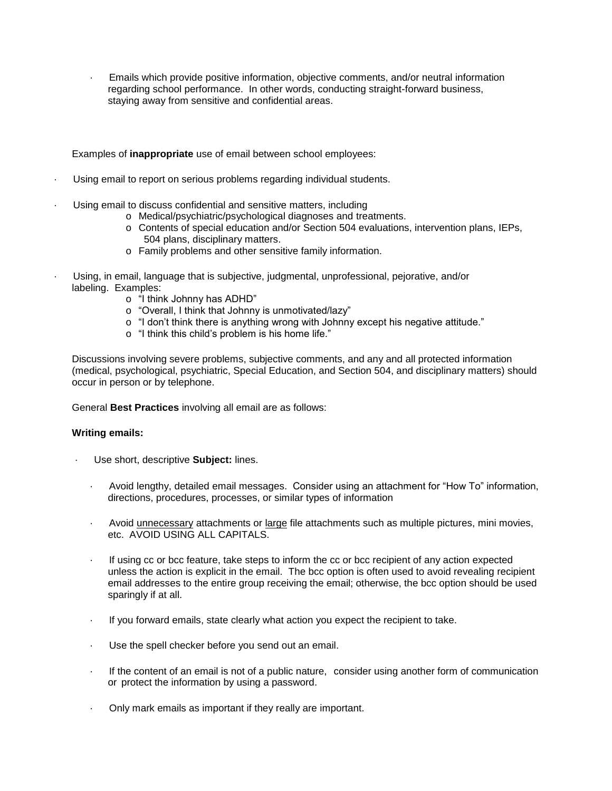· Emails which provide positive information, objective comments, and/or neutral information regarding school performance. In other words, conducting straight-forward business, staying away from sensitive and confidential areas.

Examples of **inappropriate** use of email between school employees:

- Using email to report on serious problems regarding individual students.
- Using email to discuss confidential and sensitive matters, including
	- o Medical/psychiatric/psychological diagnoses and treatments.
	- o Contents of special education and/or Section 504 evaluations, intervention plans, IEPs, 504 plans, disciplinary matters.
	- o Family problems and other sensitive family information.
- · Using, in email, language that is subjective, judgmental, unprofessional, pejorative, and/or labeling. Examples:
	- o "I think Johnny has ADHD"
	- o "Overall, I think that Johnny is unmotivated/lazy"
	- o "I don't think there is anything wrong with Johnny except his negative attitude."
	- o "I think this child's problem is his home life."

Discussions involving severe problems, subjective comments, and any and all protected information (medical, psychological, psychiatric, Special Education, and Section 504, and disciplinary matters) should occur in person or by telephone.

General **Best Practices** involving all email are as follows:

### **Writing emails:**

- Use short, descriptive **Subject:** lines.
	- · Avoid lengthy, detailed email messages. Consider using an attachment for "How To" information, directions, procedures, processes, or similar types of information
	- · Avoid unnecessary attachments or large file attachments such as multiple pictures, mini movies, etc. AVOID USING ALL CAPITALS.
	- · If using cc or bcc feature, take steps to inform the cc or bcc recipient of any action expected unless the action is explicit in the email. The bcc option is often used to avoid revealing recipient email addresses to the entire group receiving the email; otherwise, the bcc option should be used sparingly if at all.
	- If you forward emails, state clearly what action you expect the recipient to take.
	- Use the spell checker before you send out an email.
	- If the content of an email is not of a public nature, consider using another form of communication or protect the information by using a password.
	- · Only mark emails as important if they really are important.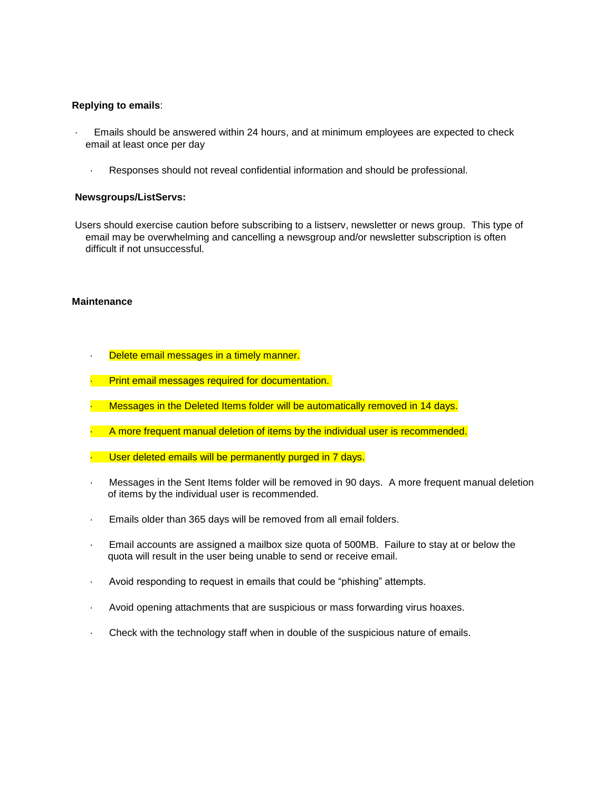### **Replying to emails**:

- · Emails should be answered within 24 hours, and at minimum employees are expected to check email at least once per day
	- · Responses should not reveal confidential information and should be professional.

### **Newsgroups/ListServs:**

Users should exercise caution before subscribing to a listserv, newsletter or news group. This type of email may be overwhelming and cancelling a newsgroup and/or newsletter subscription is often difficult if not unsuccessful.

### **Maintenance**

- · Delete email messages in a timely manner.
	- Print email messages required for documentation.
- Messages in the Deleted Items folder will be automatically removed in 14 days.
- · A more frequent manual deletion of items by the individual user is recommended.
- · User deleted emails will be permanently purged in 7 days.
- Messages in the Sent Items folder will be removed in 90 days. A more frequent manual deletion of items by the individual user is recommended.
- Emails older than 365 days will be removed from all email folders.
- · Email accounts are assigned a mailbox size quota of 500MB. Failure to stay at or below the quota will result in the user being unable to send or receive email.
- · Avoid responding to request in emails that could be "phishing" attempts.
- · Avoid opening attachments that are suspicious or mass forwarding virus hoaxes.
- · Check with the technology staff when in double of the suspicious nature of emails.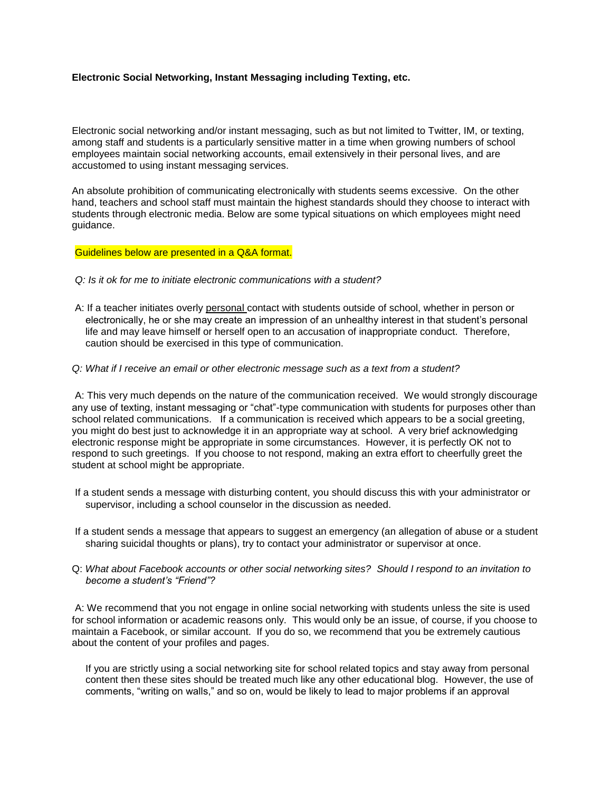# **Electronic Social Networking, Instant Messaging including Texting, etc.**

Electronic social networking and/or instant messaging, such as but not limited to Twitter, IM, or texting, among staff and students is a particularly sensitive matter in a time when growing numbers of school employees maintain social networking accounts, email extensively in their personal lives, and are accustomed to using instant messaging services.

An absolute prohibition of communicating electronically with students seems excessive. On the other hand, teachers and school staff must maintain the highest standards should they choose to interact with students through electronic media. Below are some typical situations on which employees might need guidance.

#### Guidelines below are presented in a Q&A format.

- *Q: Is it ok for me to initiate electronic communications with a student?*
- A: If a teacher initiates overly personal contact with students outside of school, whether in person or electronically, he or she may create an impression of an unhealthy interest in that student's personal life and may leave himself or herself open to an accusation of inappropriate conduct. Therefore, caution should be exercised in this type of communication.

### *Q: What if I receive an email or other electronic message such as a text from a student?*

A: This very much depends on the nature of the communication received. We would strongly discourage any use of texting, instant messaging or "chat"-type communication with students for purposes other than school related communications. If a communication is received which appears to be a social greeting. you might do best just to acknowledge it in an appropriate way at school. A very brief acknowledging electronic response might be appropriate in some circumstances. However, it is perfectly OK not to respond to such greetings. If you choose to not respond, making an extra effort to cheerfully greet the student at school might be appropriate.

- If a student sends a message with disturbing content, you should discuss this with your administrator or supervisor, including a school counselor in the discussion as needed.
- If a student sends a message that appears to suggest an emergency (an allegation of abuse or a student sharing suicidal thoughts or plans), try to contact your administrator or supervisor at once.
- Q: *What about Facebook accounts or other social networking sites? Should I respond to an invitation to become a student's "Friend"?*

A: We recommend that you not engage in online social networking with students unless the site is used for school information or academic reasons only. This would only be an issue, of course, if you choose to maintain a Facebook, or similar account. If you do so, we recommend that you be extremely cautious about the content of your profiles and pages.

If you are strictly using a social networking site for school related topics and stay away from personal content then these sites should be treated much like any other educational blog. However, the use of comments, "writing on walls," and so on, would be likely to lead to major problems if an approval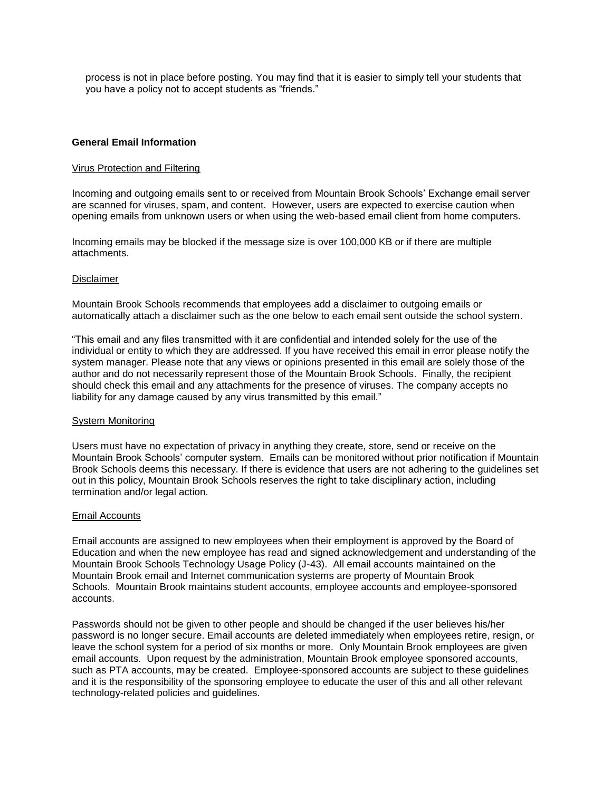process is not in place before posting. You may find that it is easier to simply tell your students that you have a policy not to accept students as "friends."

### **General Email Information**

#### Virus Protection and Filtering

Incoming and outgoing emails sent to or received from Mountain Brook Schools' Exchange email server are scanned for viruses, spam, and content. However, users are expected to exercise caution when opening emails from unknown users or when using the web-based email client from home computers.

Incoming emails may be blocked if the message size is over 100,000 KB or if there are multiple attachments.

#### Disclaimer

Mountain Brook Schools recommends that employees add a disclaimer to outgoing emails or automatically attach a disclaimer such as the one below to each email sent outside the school system.

"This email and any files transmitted with it are confidential and intended solely for the use of the individual or entity to which they are addressed. If you have received this email in error please notify the system manager. Please note that any views or opinions presented in this email are solely those of the author and do not necessarily represent those of the Mountain Brook Schools. Finally, the recipient should check this email and any attachments for the presence of viruses. The company accepts no liability for any damage caused by any virus transmitted by this email."

#### System Monitoring

Users must have no expectation of privacy in anything they create, store, send or receive on the Mountain Brook Schools' computer system. Emails can be monitored without prior notification if Mountain Brook Schools deems this necessary. If there is evidence that users are not adhering to the guidelines set out in this policy, Mountain Brook Schools reserves the right to take disciplinary action, including termination and/or legal action.

#### Email Accounts

Email accounts are assigned to new employees when their employment is approved by the Board of Education and when the new employee has read and signed acknowledgement and understanding of the Mountain Brook Schools Technology Usage Policy (J-43). All email accounts maintained on the Mountain Brook email and Internet communication systems are property of Mountain Brook Schools. Mountain Brook maintains student accounts, employee accounts and employee-sponsored accounts.

Passwords should not be given to other people and should be changed if the user believes his/her password is no longer secure. Email accounts are deleted immediately when employees retire, resign, or leave the school system for a period of six months or more. Only Mountain Brook employees are given email accounts. Upon request by the administration, Mountain Brook employee sponsored accounts, such as PTA accounts, may be created. Employee-sponsored accounts are subject to these guidelines and it is the responsibility of the sponsoring employee to educate the user of this and all other relevant technology-related policies and guidelines.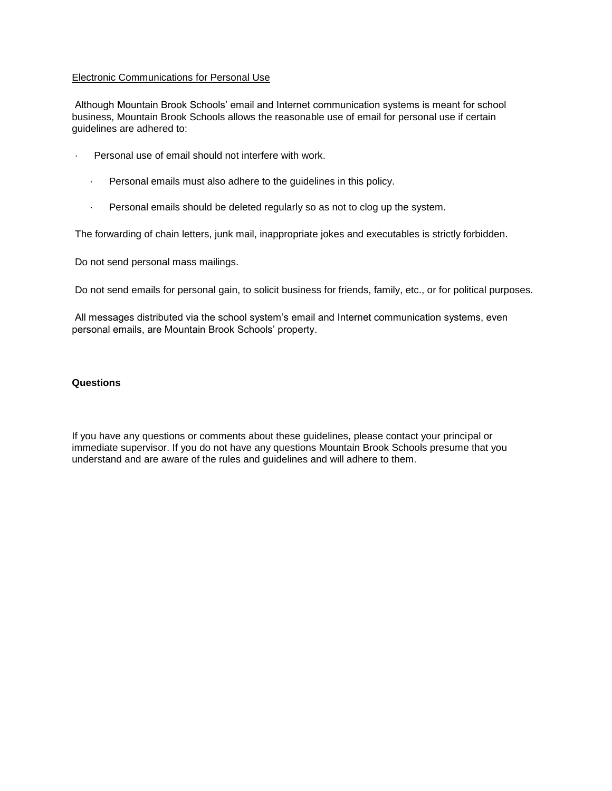# Electronic Communications for Personal Use

Although Mountain Brook Schools' email and Internet communication systems is meant for school business, Mountain Brook Schools allows the reasonable use of email for personal use if certain guidelines are adhered to:

- · Personal use of email should not interfere with work.
	- · Personal emails must also adhere to the guidelines in this policy.
	- · Personal emails should be deleted regularly so as not to clog up the system.

The forwarding of chain letters, junk mail, inappropriate jokes and executables is strictly forbidden.

Do not send personal mass mailings.

Do not send emails for personal gain, to solicit business for friends, family, etc., or for political purposes.

All messages distributed via the school system's email and Internet communication systems, even personal emails, are Mountain Brook Schools' property.

### **Questions**

If you have any questions or comments about these guidelines, please contact your principal or immediate supervisor. If you do not have any questions Mountain Brook Schools presume that you understand and are aware of the rules and guidelines and will adhere to them.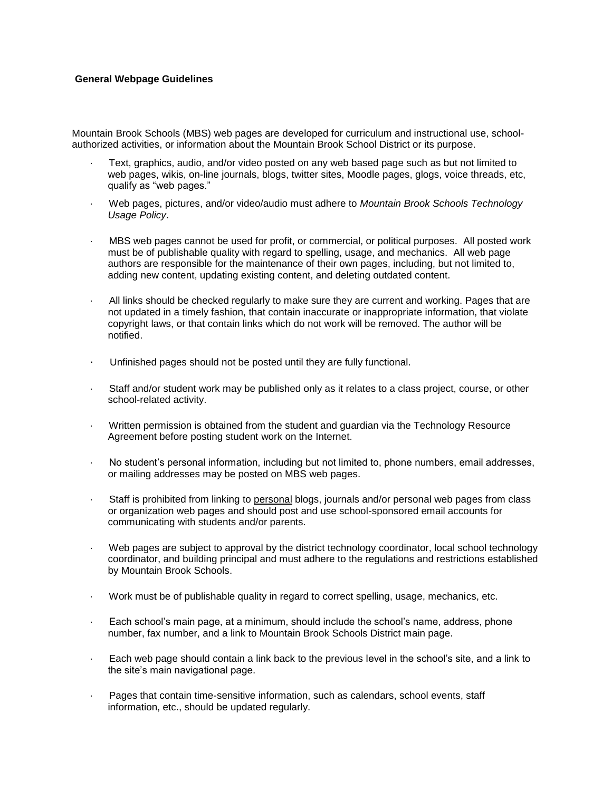### **General Webpage Guidelines**

Mountain Brook Schools (MBS) web pages are developed for curriculum and instructional use, schoolauthorized activities, or information about the Mountain Brook School District or its purpose.

- · Text, graphics, audio, and/or video posted on any web based page such as but not limited to web pages, wikis, on-line journals, blogs, twitter sites, Moodle pages, glogs, voice threads, etc, qualify as "web pages."
- · Web pages, pictures, and/or video/audio must adhere to *Mountain Brook Schools Technology Usage Policy*.
- · MBS web pages cannot be used for profit, or commercial, or political purposes. All posted work must be of publishable quality with regard to spelling, usage, and mechanics. All web page authors are responsible for the maintenance of their own pages, including, but not limited to, adding new content, updating existing content, and deleting outdated content.
- · All links should be checked regularly to make sure they are current and working. Pages that are not updated in a timely fashion, that contain inaccurate or inappropriate information, that violate copyright laws, or that contain links which do not work will be removed. The author will be notified.
- · Unfinished pages should not be posted until they are fully functional.
- Staff and/or student work may be published only as it relates to a class project, course, or other school-related activity.
- · Written permission is obtained from the student and guardian via the Technology Resource Agreement before posting student work on the Internet.
- · No student's personal information, including but not limited to, phone numbers, email addresses, or mailing addresses may be posted on MBS web pages.
- Staff is prohibited from linking to personal blogs, journals and/or personal web pages from class or organization web pages and should post and use school-sponsored email accounts for communicating with students and/or parents.
- Web pages are subject to approval by the district technology coordinator, local school technology coordinator, and building principal and must adhere to the regulations and restrictions established by Mountain Brook Schools.
- · Work must be of publishable quality in regard to correct spelling, usage, mechanics, etc.
- Each school's main page, at a minimum, should include the school's name, address, phone number, fax number, and a link to Mountain Brook Schools District main page.
- Each web page should contain a link back to the previous level in the school's site, and a link to the site's main navigational page.
- Pages that contain time-sensitive information, such as calendars, school events, staff information, etc., should be updated regularly.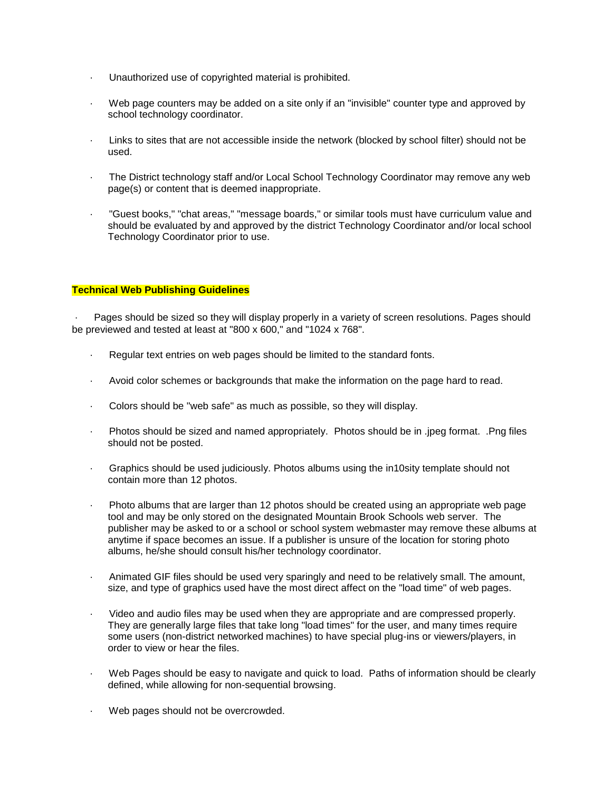- · Unauthorized use of copyrighted material is prohibited.
- Web page counters may be added on a site only if an "invisible" counter type and approved by school technology coordinator.
- Links to sites that are not accessible inside the network (blocked by school filter) should not be used.
- The District technology staff and/or Local School Technology Coordinator may remove any web page(s) or content that is deemed inappropriate.
- · "Guest books," "chat areas," "message boards," or similar tools must have curriculum value and should be evaluated by and approved by the district Technology Coordinator and/or local school Technology Coordinator prior to use.

# **Technical Web Publishing Guidelines**

Pages should be sized so they will display properly in a variety of screen resolutions. Pages should be previewed and tested at least at "800 x 600," and "1024 x 768".

- Regular text entries on web pages should be limited to the standard fonts.
- · Avoid color schemes or backgrounds that make the information on the page hard to read.
- · Colors should be "web safe" as much as possible, so they will display.
- Photos should be sized and named appropriately. Photos should be in .jpeg format. .Png files should not be posted.
- · Graphics should be used judiciously. Photos albums using the in10sity template should not contain more than 12 photos.
- Photo albums that are larger than 12 photos should be created using an appropriate web page tool and may be only stored on the designated Mountain Brook Schools web server. The publisher may be asked to or a school or school system webmaster may remove these albums at anytime if space becomes an issue. If a publisher is unsure of the location for storing photo albums, he/she should consult his/her technology coordinator.
- · Animated GIF files should be used very sparingly and need to be relatively small. The amount, size, and type of graphics used have the most direct affect on the "load time" of web pages.
- · Video and audio files may be used when they are appropriate and are compressed properly. They are generally large files that take long "load times" for the user, and many times require some users (non-district networked machines) to have special plug-ins or viewers/players, in order to view or hear the files.
- Web Pages should be easy to navigate and quick to load. Paths of information should be clearly defined, while allowing for non-sequential browsing.
- Web pages should not be overcrowded.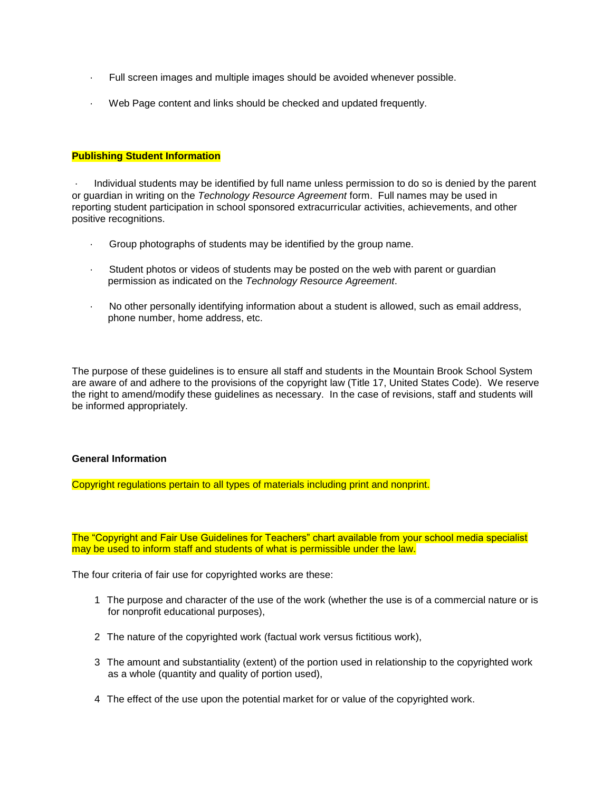- · Full screen images and multiple images should be avoided whenever possible.
- · Web Page content and links should be checked and updated frequently.

### **Publishing Student Information**

· Individual students may be identified by full name unless permission to do so is denied by the parent or guardian in writing on the *Technology Resource Agreement* form. Full names may be used in reporting student participation in school sponsored extracurricular activities, achievements, and other positive recognitions.

- · Group photographs of students may be identified by the group name.
- · Student photos or videos of students may be posted on the web with parent or guardian permission as indicated on the *Technology Resource Agreement*.
- · No other personally identifying information about a student is allowed, such as email address, phone number, home address, etc.

The purpose of these guidelines is to ensure all staff and students in the Mountain Brook School System are aware of and adhere to the provisions of the copyright law (Title 17, United States Code). We reserve the right to amend/modify these guidelines as necessary. In the case of revisions, staff and students will be informed appropriately.

### **General Information**

Copyright regulations pertain to all types of materials including print and nonprint.

The "Copyright and Fair Use Guidelines for Teachers" chart available from your school media specialist may be used to inform staff and students of what is permissible under the law.

The four criteria of fair use for copyrighted works are these:

- 1 The purpose and character of the use of the work (whether the use is of a commercial nature or is for nonprofit educational purposes),
- 2 The nature of the copyrighted work (factual work versus fictitious work),
- 3 The amount and substantiality (extent) of the portion used in relationship to the copyrighted work as a whole (quantity and quality of portion used),
- 4 The effect of the use upon the potential market for or value of the copyrighted work.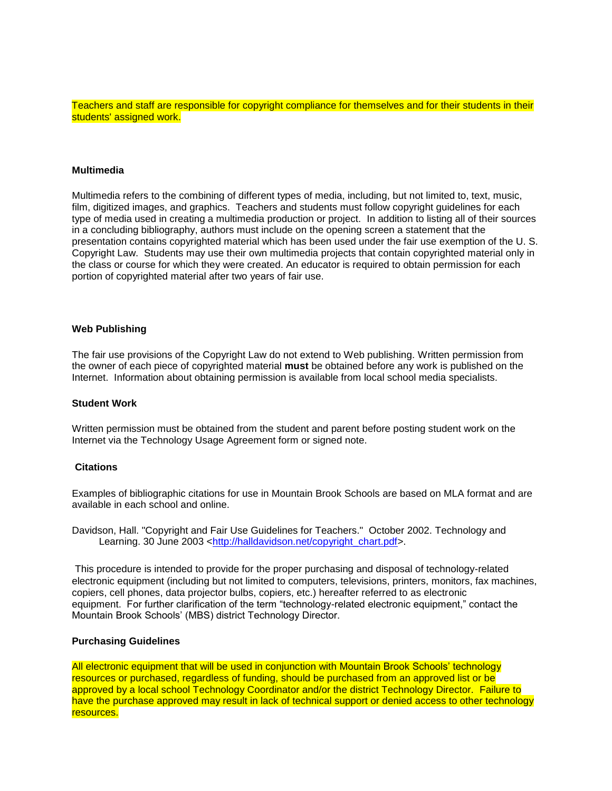Teachers and staff are responsible for copyright compliance for themselves and for their students in their students' assigned work.

# **Multimedia**

Multimedia refers to the combining of different types of media, including, but not limited to, text, music, film, digitized images, and graphics. Teachers and students must follow copyright guidelines for each type of media used in creating a multimedia production or project. In addition to listing all of their sources in a concluding bibliography, authors must include on the opening screen a statement that the presentation contains copyrighted material which has been used under the fair use exemption of the U. S. Copyright Law. Students may use their own multimedia projects that contain copyrighted material only in the class or course for which they were created. An educator is required to obtain permission for each portion of copyrighted material after two years of fair use.

### **Web Publishing**

The fair use provisions of the Copyright Law do not extend to Web publishing. Written permission from the owner of each piece of copyrighted material **must** be obtained before any work is published on the Internet. Information about obtaining permission is available from local school media specialists.

#### **Student Work**

Written permission must be obtained from the student and parent before posting student work on the Internet via the Technology Usage Agreement form or signed note.

#### **Citations**

Examples of bibliographic citations for use in Mountain Brook Schools are based on MLA format and are available in each school and online.

Davidson, Hall. "Copyright and Fair Use Guidelines for Teachers." October 2002. Technology and Learning. 30 June 2003 <http://halldavidson.net/copyright\_chart.pdf>.

This procedure is intended to provide for the proper purchasing and disposal of technology-related electronic equipment (including but not limited to computers, televisions, printers, monitors, fax machines, copiers, cell phones, data projector bulbs, copiers, etc.) hereafter referred to as electronic equipment. For further clarification of the term "technology-related electronic equipment," contact the Mountain Brook Schools' (MBS) district Technology Director.

#### **Purchasing Guidelines**

All electronic equipment that will be used in conjunction with Mountain Brook Schools' technology resources or purchased, regardless of funding, should be purchased from an approved list or be approved by a local school Technology Coordinator and/or the district Technology Director. Failure to have the purchase approved may result in lack of technical support or denied access to other technology resources.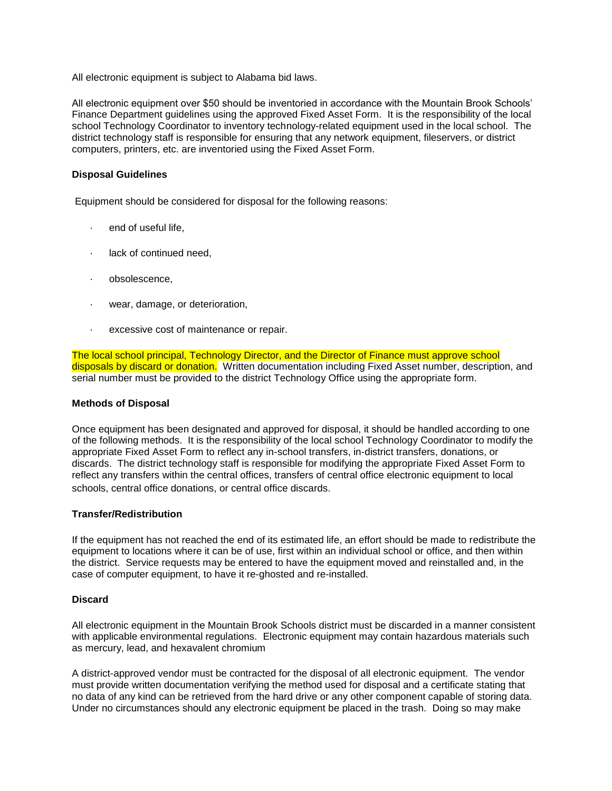All electronic equipment is subject to Alabama bid laws.

All electronic equipment over \$50 should be inventoried in accordance with the Mountain Brook Schools' Finance Department guidelines using the approved Fixed Asset Form. It is the responsibility of the local school Technology Coordinator to inventory technology-related equipment used in the local school. The district technology staff is responsible for ensuring that any network equipment, fileservers, or district computers, printers, etc. are inventoried using the Fixed Asset Form.

### **Disposal Guidelines**

Equipment should be considered for disposal for the following reasons:

- · end of useful life,
- lack of continued need,
- obsolescence,
- · wear, damage, or deterioration,
- excessive cost of maintenance or repair.

The local school principal, Technology Director, and the Director of Finance must approve school disposals by discard or donation. Written documentation including Fixed Asset number, description, and serial number must be provided to the district Technology Office using the appropriate form.

#### **Methods of Disposal**

Once equipment has been designated and approved for disposal, it should be handled according to one of the following methods. It is the responsibility of the local school Technology Coordinator to modify the appropriate Fixed Asset Form to reflect any in-school transfers, in-district transfers, donations, or discards. The district technology staff is responsible for modifying the appropriate Fixed Asset Form to reflect any transfers within the central offices, transfers of central office electronic equipment to local schools, central office donations, or central office discards.

#### **Transfer/Redistribution**

If the equipment has not reached the end of its estimated life, an effort should be made to redistribute the equipment to locations where it can be of use, first within an individual school or office, and then within the district. Service requests may be entered to have the equipment moved and reinstalled and, in the case of computer equipment, to have it re-ghosted and re-installed.

#### **Discard**

All electronic equipment in the Mountain Brook Schools district must be discarded in a manner consistent with applicable environmental regulations. Electronic equipment may contain hazardous materials such as mercury, lead, and hexavalent chromium

A district-approved vendor must be contracted for the disposal of all electronic equipment. The vendor must provide written documentation verifying the method used for disposal and a certificate stating that no data of any kind can be retrieved from the hard drive or any other component capable of storing data. Under no circumstances should any electronic equipment be placed in the trash. Doing so may make